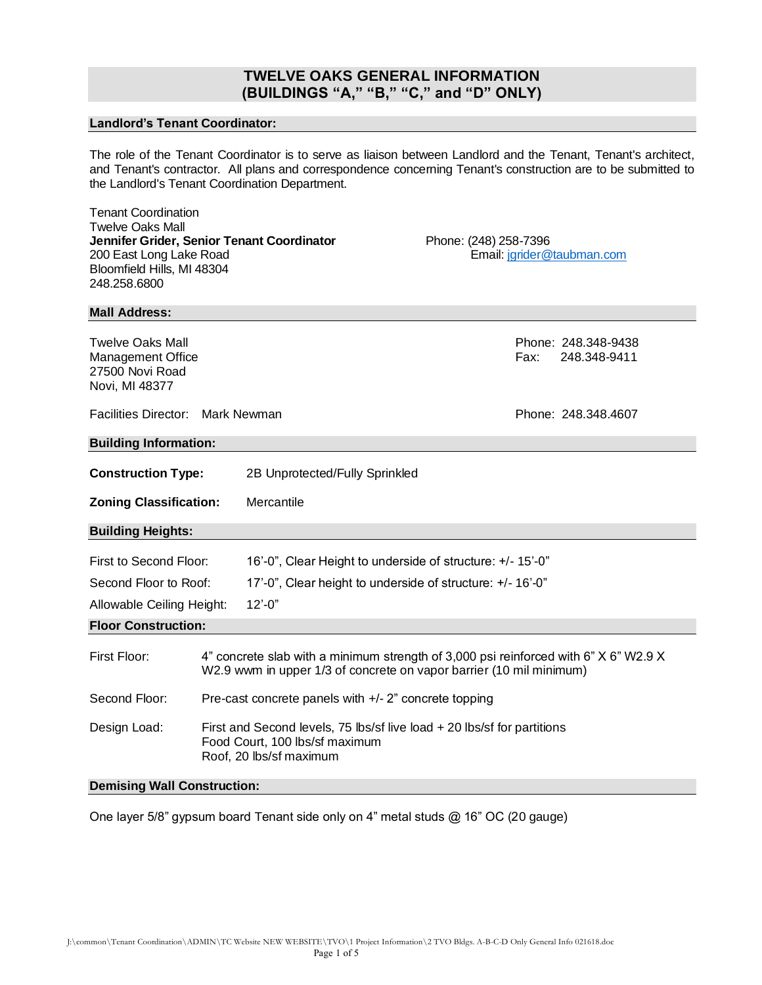## **TWELVE OAKS GENERAL INFORMATION (BUILDINGS "A," "B," "C," and "D" ONLY)**

## **Landlord's Tenant Coordinator:**

The role of the Tenant Coordinator is to serve as liaison between Landlord and the Tenant, Tenant's architect, and Tenant's contractor. All plans and correspondence concerning Tenant's construction are to be submitted to the Landlord's Tenant Coordination Department.

| <b>Tenant Coordination</b><br><b>Twelve Oaks Mall</b><br>Jennifer Grider, Senior Tenant Coordinator<br>200 East Long Lake Road<br>Bloomfield Hills, MI 48304<br>248.258.6800 |                                                                                                                                                             |                                                            | Phone: (248) 258-7396 |      | Email: jgrider@taubman.com          |
|------------------------------------------------------------------------------------------------------------------------------------------------------------------------------|-------------------------------------------------------------------------------------------------------------------------------------------------------------|------------------------------------------------------------|-----------------------|------|-------------------------------------|
| <b>Mall Address:</b>                                                                                                                                                         |                                                                                                                                                             |                                                            |                       |      |                                     |
| <b>Twelve Oaks Mall</b><br><b>Management Office</b><br>27500 Novi Road<br>Novi, MI 48377                                                                                     |                                                                                                                                                             |                                                            |                       | Fax: | Phone: 248.348-9438<br>248.348-9411 |
| Facilities Director: Mark Newman                                                                                                                                             |                                                                                                                                                             |                                                            |                       |      | Phone: 248.348.4607                 |
| <b>Building Information:</b>                                                                                                                                                 |                                                                                                                                                             |                                                            |                       |      |                                     |
| <b>Construction Type:</b><br>2B Unprotected/Fully Sprinkled                                                                                                                  |                                                                                                                                                             |                                                            |                       |      |                                     |
| <b>Zoning Classification:</b>                                                                                                                                                |                                                                                                                                                             | Mercantile                                                 |                       |      |                                     |
| <b>Building Heights:</b>                                                                                                                                                     |                                                                                                                                                             |                                                            |                       |      |                                     |
| First to Second Floor:                                                                                                                                                       |                                                                                                                                                             | 16'-0", Clear Height to underside of structure: +/- 15'-0" |                       |      |                                     |
| Second Floor to Roof:                                                                                                                                                        |                                                                                                                                                             | 17'-0", Clear height to underside of structure: +/- 16'-0" |                       |      |                                     |
| $12' - 0''$<br>Allowable Ceiling Height:                                                                                                                                     |                                                                                                                                                             |                                                            |                       |      |                                     |
| <b>Floor Construction:</b>                                                                                                                                                   |                                                                                                                                                             |                                                            |                       |      |                                     |
| First Floor:                                                                                                                                                                 | 4" concrete slab with a minimum strength of 3,000 psi reinforced with 6" X 6" W2.9 X<br>W2.9 wwm in upper 1/3 of concrete on vapor barrier (10 mil minimum) |                                                            |                       |      |                                     |
| Second Floor:                                                                                                                                                                | Pre-cast concrete panels with +/- 2" concrete topping                                                                                                       |                                                            |                       |      |                                     |
| Design Load:                                                                                                                                                                 | First and Second levels, 75 lbs/sf live load + 20 lbs/sf for partitions<br>Food Court, 100 lbs/sf maximum<br>Roof, 20 lbs/sf maximum                        |                                                            |                       |      |                                     |

## **Demising Wall Construction:**

One layer 5/8" gypsum board Tenant side only on 4" metal studs @ 16" OC (20 gauge)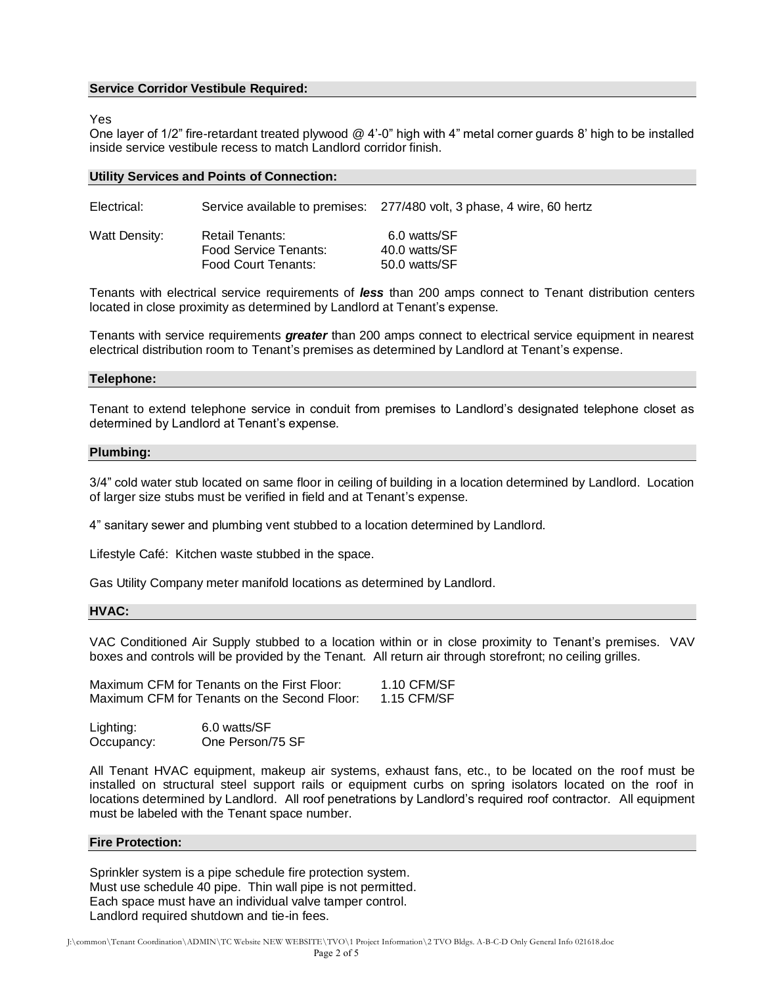## **Service Corridor Vestibule Required:**

#### Yes

One layer of 1/2" fire-retardant treated plywood @ 4'-0" high with 4" metal corner guards 8' high to be installed inside service vestibule recess to match Landlord corridor finish.

| Electrical:   |                                                                 | Service available to premises: 277/480 volt, 3 phase, 4 wire, 60 hertz |
|---------------|-----------------------------------------------------------------|------------------------------------------------------------------------|
| Watt Density: | Retail Tenants:<br>Food Service Tenants:<br>Food Court Tenants: | 6.0 watts/SF<br>40.0 watts/SF<br>50.0 watts/SF                         |

Tenants with electrical service requirements of *less* than 200 amps connect to Tenant distribution centers located in close proximity as determined by Landlord at Tenant's expense.

Tenants with service requirements *greater* than 200 amps connect to electrical service equipment in nearest electrical distribution room to Tenant's premises as determined by Landlord at Tenant's expense.

#### **Telephone:**

Tenant to extend telephone service in conduit from premises to Landlord's designated telephone closet as determined by Landlord at Tenant's expense.

#### **Plumbing:**

3/4" cold water stub located on same floor in ceiling of building in a location determined by Landlord. Location of larger size stubs must be verified in field and at Tenant's expense.

4" sanitary sewer and plumbing vent stubbed to a location determined by Landlord.

Lifestyle Café: Kitchen waste stubbed in the space.

Gas Utility Company meter manifold locations as determined by Landlord.

#### **HVAC:**

VAC Conditioned Air Supply stubbed to a location within or in close proximity to Tenant's premises. VAV boxes and controls will be provided by the Tenant. All return air through storefront; no ceiling grilles.

| Maximum CFM for Tenants on the First Floor:  |  | 1.10 CFM/SF |
|----------------------------------------------|--|-------------|
| Maximum CFM for Tenants on the Second Floor: |  | 1.15 CFM/SF |

| Lighting:  | 6.0 watts/SF     |
|------------|------------------|
| Occupancy: | One Person/75 SF |

All Tenant HVAC equipment, makeup air systems, exhaust fans, etc., to be located on the roof must be installed on structural steel support rails or equipment curbs on spring isolators located on the roof in locations determined by Landlord. All roof penetrations by Landlord's required roof contractor. All equipment must be labeled with the Tenant space number.

#### **Fire Protection:**

Sprinkler system is a pipe schedule fire protection system. Must use schedule 40 pipe. Thin wall pipe is not permitted. Each space must have an individual valve tamper control. Landlord required shutdown and tie-in fees.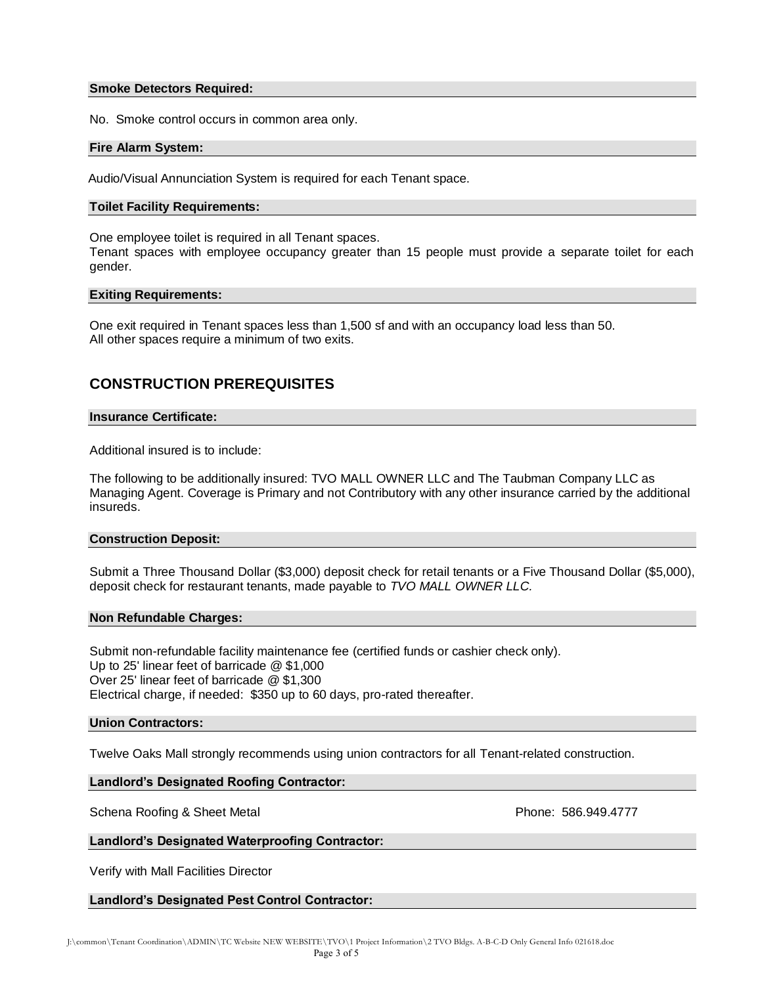### **Smoke Detectors Required:**

No. Smoke control occurs in common area only.

## **Fire Alarm System:**

Audio/Visual Annunciation System is required for each Tenant space.

## **Toilet Facility Requirements:**

One employee toilet is required in all Tenant spaces.

Tenant spaces with employee occupancy greater than 15 people must provide a separate toilet for each gender.

## **Exiting Requirements:**

One exit required in Tenant spaces less than 1,500 sf and with an occupancy load less than 50. All other spaces require a minimum of two exits.

# **CONSTRUCTION PREREQUISITES**

### **Insurance Certificate:**

Additional insured is to include:

The following to be additionally insured: TVO MALL OWNER LLC and The Taubman Company LLC as Managing Agent. Coverage is Primary and not Contributory with any other insurance carried by the additional insureds.

### **Construction Deposit:**

Submit a Three Thousand Dollar (\$3,000) deposit check for retail tenants or a Five Thousand Dollar (\$5,000), deposit check for restaurant tenants, made payable to *TVO MALL OWNER LLC.*

### **Non Refundable Charges:**

Submit non-refundable facility maintenance fee (certified funds or cashier check only). Up to 25' linear feet of barricade @ \$1,000 Over 25' linear feet of barricade @ \$1,300 Electrical charge, if needed: \$350 up to 60 days, pro-rated thereafter.

### **Union Contractors:**

Twelve Oaks Mall strongly recommends using union contractors for all Tenant-related construction.

## **Landlord's Designated Roofing Contractor:**

Schena Roofing & Sheet Metal **Phone: 586.949.4777** 

## **Landlord's Designated Waterproofing Contractor:**

Verify with Mall Facilities Director

## **Landlord's Designated Pest Control Contractor:**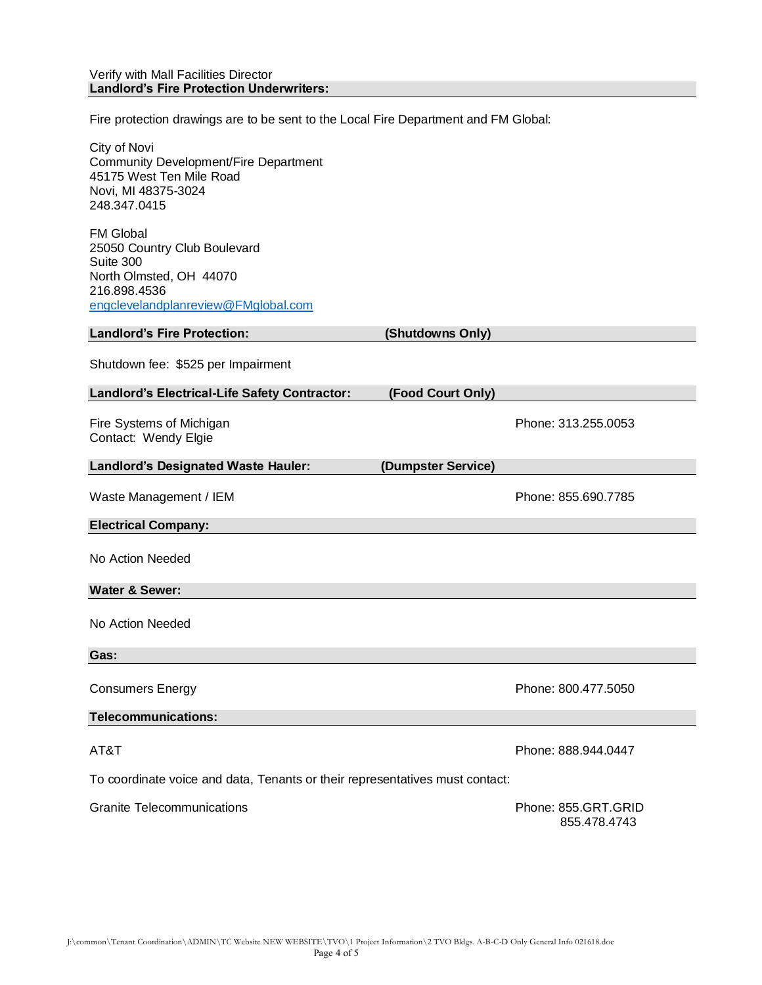Fire protection drawings are to be sent to the Local Fire Department and FM Global:

City of Novi Community Development/Fire Department 45175 West Ten Mile Road Novi, MI 48375-3024 248.347.0415

FM Global 25050 Country Club Boulevard Suite 300 North Olmsted, OH 44070 216.898.4536 [engclevelandplanreview@FMglobal.com](mailto:engclevelandplanreview@FMglobal.com)

| $\sim$ igoic volumeplants views invigional.com   |                    |                     |
|--------------------------------------------------|--------------------|---------------------|
| <b>Landlord's Fire Protection:</b>               | (Shutdowns Only)   |                     |
| Shutdown fee: \$525 per Impairment               |                    |                     |
| Landlord's Electrical-Life Safety Contractor:    | (Food Court Only)  |                     |
| Fire Systems of Michigan<br>Contact: Wendy Elgie |                    | Phone: 313.255.0053 |
| Landlord's Designated Waste Hauler:              | (Dumpster Service) |                     |
| Waste Management / IEM                           |                    | Phone: 855.690.7785 |
| <b>Electrical Company:</b>                       |                    |                     |
| No Action Needed                                 |                    |                     |
| <b>Water &amp; Sewer:</b>                        |                    |                     |
| No Action Needed                                 |                    |                     |
| Gas:                                             |                    |                     |
| <b>Consumers Energy</b>                          |                    | Phone: 800.477.5050 |
| <b>Telecommunications:</b>                       |                    |                     |
| AT&T                                             |                    | Phone: 888.944.0447 |

To coordinate voice and data, Tenants or their representatives must contact:

Granite Telecommunications **Containers** Phone: 855.GRT.GRID

855.478.4743